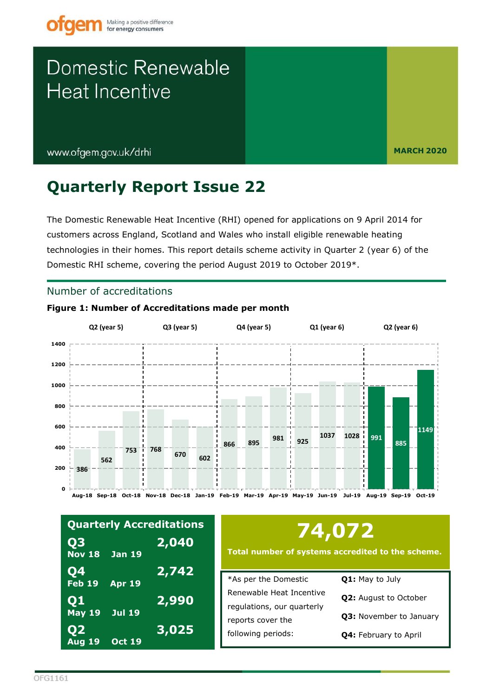www.ofgem.gov.uk/drhi

**MARCH 2020** 

## **Quarterly Report Issue 22**

Figure 1: Number of Accreditations made per month

The Domestic Renewable Heat Incentive (RHI) opened for applications on 9 April 2014 for customers across England, Scotland and Wales who install eligible renewable heating technologies in their homes. This report details scheme activity in Quarter 2 (year 6) of the Domestic RHI scheme, covering the period August 2019 to October 2019\*.

## Number of accreditations

#### Q2 (year 5) Q3 (year 5) Q4 (year 5)  $Q1$  (year 6)  $Q2$  (year 6) 1400 1200 1000  $800$ 600 1149 1037 1028 991 981 925 895 885 866  $400$ 753 768 670 602 562 200 386  $\Omega$ Aug-18 Sep-18 Oct-18 Nov-18 Dec-18 Jan-19 Feb-19 Mar-19 Apr-19 May-19 Jun-19 Jul-19 Aug-19 Sep-19 Oct-19

| <b>Quarterly Accreditations</b>          |               |              |  |  |  |  |  |
|------------------------------------------|---------------|--------------|--|--|--|--|--|
| $\overline{\mathbf{Q}}$<br><b>Nov 18</b> | <b>Jan 19</b> | <u>2,040</u> |  |  |  |  |  |
| <b>Q4</b><br>$Feb$ 19                    | <b>Apr 19</b> | 2,742        |  |  |  |  |  |
| Q1<br><b>May 19</b>                      | <b>Jul 19</b> | 2,990        |  |  |  |  |  |
| $\overline{\mathbf{Q}}$<br><b>Aug 19</b> | <b>Oct 19</b> | 3,025        |  |  |  |  |  |

# 74,072

Total number of systems accredited to the scheme.

| *As per the Domestic       | <b>Q1:</b> May to July       |  |  |
|----------------------------|------------------------------|--|--|
| Renewable Heat Incentive   | <b>Q2:</b> August to October |  |  |
| regulations, our quarterly |                              |  |  |
| reports cover the          | Q3: November to January      |  |  |
| following periods:         | <b>Q4: February to April</b> |  |  |
|                            |                              |  |  |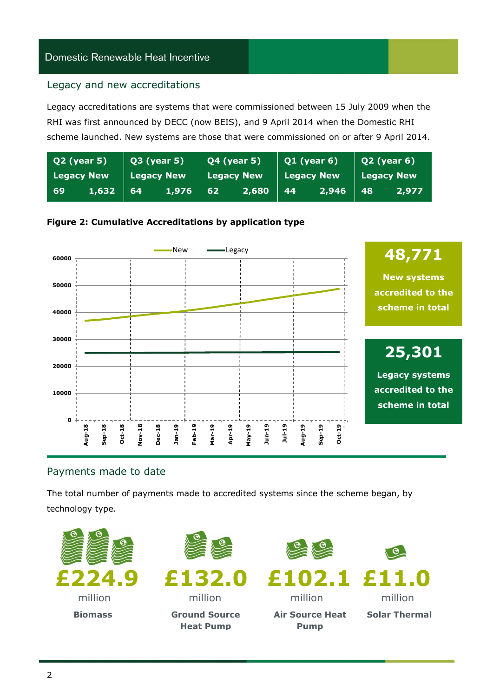### Legacy and new accreditations

 scheme launched. New systems are those that were commissioned on or after 9 April 2014. Legacy accreditations are systems that were commissioned between 15 July 2009 when the RHI was first announced by DECC (now BEIS), and 9 April 2014 when the Domestic RHI

| $Q3$ (year 5)<br>Q2 (year 5) |       | <b>Q4 (year 5)</b>  |       | $Q1$ (year 6) |       | $Q2$ (year 6) |          |                   |       |
|------------------------------|-------|---------------------|-------|---------------|-------|---------------|----------|-------------------|-------|
| <b>Legacy New</b>            |       | <b>Legacy New \</b> |       | Legacy New    |       | Legacy New \  |          | <b>Legacy New</b> |       |
| -69                          | 1,632 | 64                  | 1,976 | 62            | 2,680 | -44           | 2,946 48 |                   | 2,977 |

### **Figure 2: Cumulative Accreditations by application type**



## Payments made to date

The total number of payments made to accredited systems since the scheme began, by technology type.

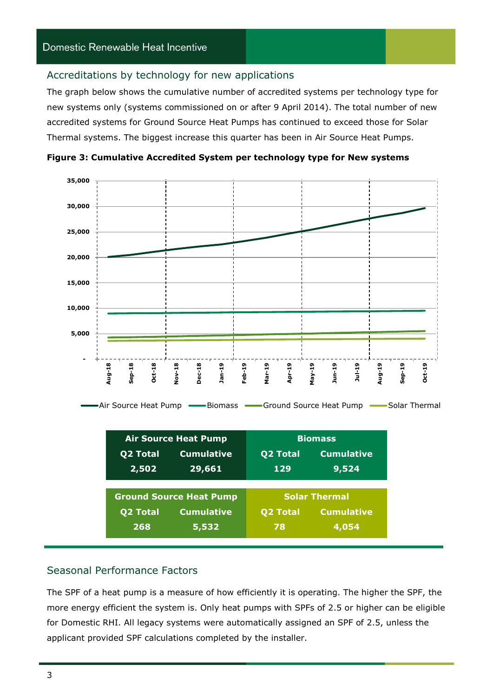#### Accreditations by technology for new applications

 The graph below shows the cumulative number of accredited systems per technology type for Thermal systems. The biggest increase this quarter has been in Air Source Heat Pumps. new systems only (systems commissioned on or after 9 April 2014). The total number of new accredited systems for Ground Source Heat Pumps has continued to exceed those for Solar



 **Figure 3: Cumulative Accredited System per technology type for New systems** 

|                 | <b>Air Source Heat Pump</b>    | <b>Biomass</b>  |                      |  |  |
|-----------------|--------------------------------|-----------------|----------------------|--|--|
| <b>Q2 Total</b> | <b>Cumulative</b>              | <b>Q2 Total</b> | <b>Cumulative</b>    |  |  |
| 2,502           | 29,661                         | 129             | 9,524                |  |  |
|                 |                                |                 |                      |  |  |
|                 |                                |                 |                      |  |  |
|                 | <b>Ground Source Heat Pump</b> |                 | <b>Solar Thermal</b> |  |  |
| <b>Q2 Total</b> | <b>Cumulative</b>              | <b>Q2 Total</b> | <b>Cumulative</b>    |  |  |

## Seasonal Performance Factors

 more energy efficient the system is. Only heat pumps with SPFs of 2.5 or higher can be eligible The SPF of a heat pump is a measure of how efficiently it is operating. The higher the SPF, the for Domestic RHI. All legacy systems were automatically assigned an SPF of 2.5, unless the applicant provided SPF calculations completed by the installer.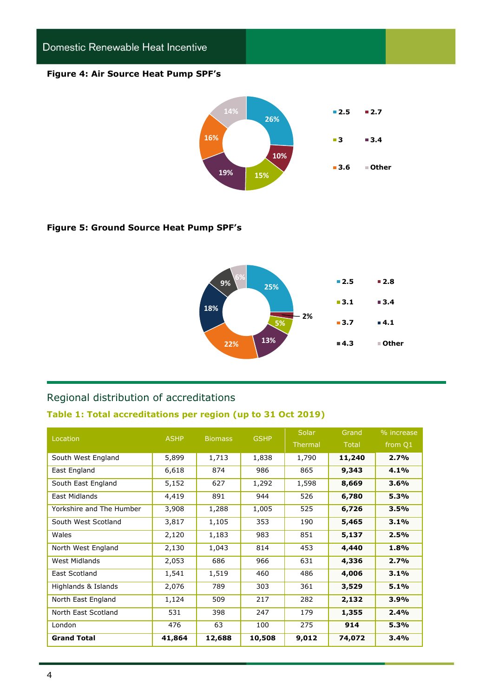#### **Figure 4: Air Source Heat Pump SPF's**



#### **Figure 5: Ground Source Heat Pump SPF's**



## Regional distribution of accreditations

#### **Table 1: Total accreditations per region (up to 31 Oct 2019)**

| Location                 | <b>ASHP</b> | <b>Biomass</b> | <b>GSHP</b> | Solar   | Grand        | % increase |
|--------------------------|-------------|----------------|-------------|---------|--------------|------------|
|                          |             |                |             | Thermal | <b>Total</b> | from Q1    |
| South West England       | 5,899       | 1,713          | 1,838       | 1,790   | 11,240       | 2.7%       |
| East England             | 6,618       | 874            | 986         | 865     | 9,343        | 4.1%       |
| South East England       | 5,152       | 627            | 1,292       | 1,598   | 8,669        | 3.6%       |
| East Midlands            | 4,419       | 891            | 944         | 526     | 6,780        | 5.3%       |
| Yorkshire and The Humber | 3,908       | 1,288          | 1,005       | 525     | 6,726        | 3.5%       |
| South West Scotland      | 3,817       | 1,105          | 353         | 190     | 5,465        | 3.1%       |
| Wales                    | 2,120       | 1,183          | 983         | 851     | 5,137        | 2.5%       |
| North West England       | 2,130       | 1,043          | 814         | 453     | 4,440        | 1.8%       |
| West Midlands            | 2,053       | 686            | 966         | 631     | 4,336        | 2.7%       |
| East Scotland            | 1,541       | 1,519          | 460         | 486     | 4,006        | 3.1%       |
| Highlands & Islands      | 2,076       | 789            | 303         | 361     | 3,529        | 5.1%       |
| North East England       | 1,124       | 509            | 217         | 282     | 2,132        | 3.9%       |
| North East Scotland      | 531         | 398            | 247         | 179     | 1,355        | 2.4%       |
| London                   | 476         | 63             | 100         | 275     | 914          | 5.3%       |
| <b>Grand Total</b>       | 41,864      | 12,688         | 10,508      | 9,012   | 74,072       | 3.4%       |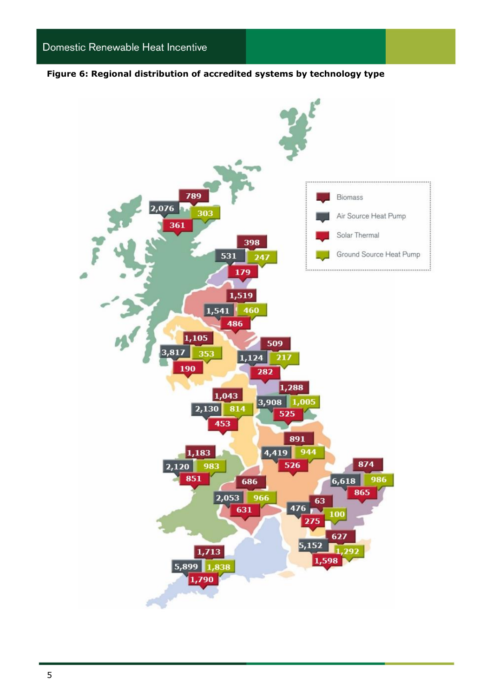